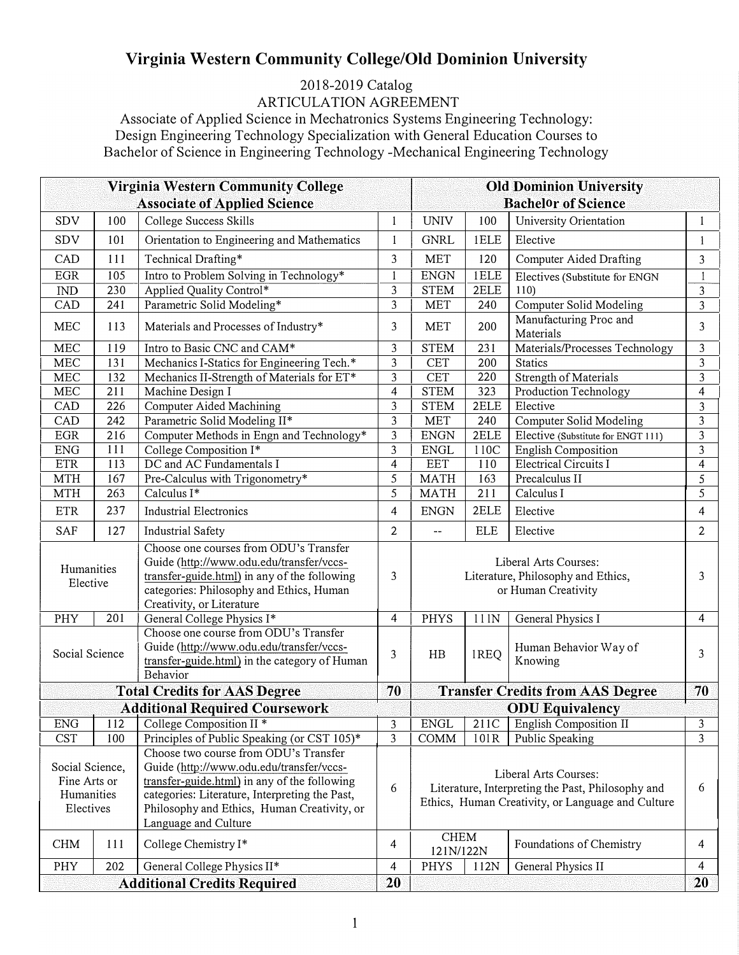## **Virginia Western Community College/Old Dominion University**

## 2018-2019 Catalog

ARTICULATION AGREEMENT

Associate of Applied Science in Mechatronics Systems Engineering Technology: Design Engineering Technology Specialization with General Education Courses to Bachelor of Science in Engineering Technology -Mechanical Engineering Technology

| <b>Virginia Western Community College</b><br><b>Associate of Applied Science</b> |                                                                                      |                                                                                                                                                                                                                                                            |                | <b>Old Dominion University</b><br><b>Bachelor of Science</b>                                                                    |             |                                     |                       |  |
|----------------------------------------------------------------------------------|--------------------------------------------------------------------------------------|------------------------------------------------------------------------------------------------------------------------------------------------------------------------------------------------------------------------------------------------------------|----------------|---------------------------------------------------------------------------------------------------------------------------------|-------------|-------------------------------------|-----------------------|--|
| SDV                                                                              | 100                                                                                  | College Success Skills                                                                                                                                                                                                                                     | 1              | <b>UNIV</b>                                                                                                                     | 100         | University Orientation              | $\mathbf{I}$          |  |
| <b>SDV</b>                                                                       | 101                                                                                  | Orientation to Engineering and Mathematics                                                                                                                                                                                                                 | 1              | <b>GNRL</b>                                                                                                                     | 1ELE        | Elective                            | $\mathbf{1}$          |  |
| CAD                                                                              | 111                                                                                  | Technical Drafting*                                                                                                                                                                                                                                        | 3              | <b>MET</b>                                                                                                                      | 120         | Computer Aided Drafting             | 3                     |  |
| $_{\rm EGR}$                                                                     | 105                                                                                  | Intro to Problem Solving in Technology*                                                                                                                                                                                                                    | $\mathbf{I}$   | <b>ENGN</b>                                                                                                                     | <b>IELE</b> | Electives (Substitute for ENGN      | 1                     |  |
| $\mathop{\rm IND}\nolimits$                                                      | 230                                                                                  | Applied Quality Control*                                                                                                                                                                                                                                   | 3              | <b>STEM</b>                                                                                                                     | 2ELE        | 110)                                | 3                     |  |
| CAD                                                                              | 241                                                                                  | Parametric Solid Modeling*                                                                                                                                                                                                                                 | 3              | <b>MET</b>                                                                                                                      | 240         | Computer Solid Modeling             | 3                     |  |
| <b>MEC</b>                                                                       | 113                                                                                  | Materials and Processes of Industry*                                                                                                                                                                                                                       | 3              | <b>MET</b>                                                                                                                      | 200         | Manufacturing Proc and<br>Materials | 3                     |  |
| <b>MEC</b>                                                                       | 119                                                                                  | Intro to Basic CNC and CAM*                                                                                                                                                                                                                                | 3              | <b>STEM</b>                                                                                                                     | 231         | Materials/Processes Technology      | 3                     |  |
| MEC                                                                              | 131                                                                                  | Mechanics I-Statics for Engineering Tech.*                                                                                                                                                                                                                 | 3              | <b>CET</b>                                                                                                                      | 200         | <b>Statics</b>                      | $\mathfrak{Z}$        |  |
| MEC                                                                              | 132                                                                                  | Mechanics II-Strength of Materials for ET*                                                                                                                                                                                                                 | 3              | <b>CET</b>                                                                                                                      | 220         | Strength of Materials               | 3                     |  |
| ${\rm MEC}$                                                                      | 211                                                                                  | Machine Design I                                                                                                                                                                                                                                           | 4              | <b>STEM</b>                                                                                                                     | 323         | Production Technology               | 4                     |  |
| CAD                                                                              | 226                                                                                  | Computer Aided Machining                                                                                                                                                                                                                                   | 3              | <b>STEM</b>                                                                                                                     | 2ELE        | Elective                            | 3                     |  |
| CAD                                                                              | 242                                                                                  | Parametric Solid Modeling II*                                                                                                                                                                                                                              | 3              | <b>MET</b>                                                                                                                      | 240         | <b>Computer Solid Modeling</b>      | 3                     |  |
| $_{\rm EGR}$                                                                     | 216                                                                                  | Computer Methods in Engn and Technology*                                                                                                                                                                                                                   | 3              | <b>ENGN</b>                                                                                                                     | 2ELE        | Elective (Substitute for ENGT 111)  | 3                     |  |
| ${\rm ENG}$                                                                      | 111                                                                                  | College Composition I*                                                                                                                                                                                                                                     | 3              | <b>ENGL</b>                                                                                                                     | 110C        | <b>English Composition</b>          | 3                     |  |
| $\rm ETR$                                                                        | 113                                                                                  | DC and AC Fundamentals I                                                                                                                                                                                                                                   | 4              | <b>EET</b>                                                                                                                      | 110         | <b>Electrical Circuits I</b>        | 4                     |  |
| <b>MTH</b>                                                                       | 167                                                                                  | Pre-Calculus with Trigonometry*                                                                                                                                                                                                                            | 5              | <b>MATH</b>                                                                                                                     | 163         | Precalculus II                      | 5                     |  |
| <b>MTH</b>                                                                       | 263                                                                                  | Calculus I*                                                                                                                                                                                                                                                | 5              | <b>MATH</b>                                                                                                                     | 211         | Calculus I                          | 5                     |  |
| <b>ETR</b>                                                                       | 237                                                                                  | <b>Industrial Electronics</b>                                                                                                                                                                                                                              | 4              | <b>ENGN</b>                                                                                                                     | 2ELE        | Elective                            | 4                     |  |
| <b>SAF</b>                                                                       | 127                                                                                  | <b>Industrial Safety</b>                                                                                                                                                                                                                                   | $\overline{2}$ |                                                                                                                                 | <b>ELE</b>  | Elective                            | $\mathbf{2}^{\prime}$ |  |
| Humanities<br>Elective                                                           |                                                                                      | Choose one courses from ODU's Transfer<br>Guide (http://www.odu.edu/transfer/vccs-<br>transfer-guide.html) in any of the following<br>categories: Philosophy and Ethics, Human<br>Creativity, or Literature                                                | 3              | Liberal Arts Courses:<br>Literature, Philosophy and Ethics,<br>3<br>or Human Creativity                                         |             |                                     |                       |  |
| PHY                                                                              | 201                                                                                  | General College Physics I*                                                                                                                                                                                                                                 | 4              | <b>PHYS</b>                                                                                                                     | 111N        | General Physics I                   | 4                     |  |
| Social Science                                                                   |                                                                                      | Choose one course from ODU's Transfer<br>Guide (http://www.odu.edu/transfer/vccs-<br>transfer-guide.html) in the category of Human<br>Behavior                                                                                                             | 3              | HB                                                                                                                              | 1REQ        | Human Behavior Way of<br>Knowing    | 3                     |  |
|                                                                                  | 70<br><b>Total Credits for AAS Degree</b><br><b>Transfer Credits from AAS Degree</b> |                                                                                                                                                                                                                                                            |                |                                                                                                                                 |             |                                     |                       |  |
|                                                                                  |                                                                                      | <b>Additional Required Coursework</b>                                                                                                                                                                                                                      |                |                                                                                                                                 |             | <b>ODU Equivalency</b>              |                       |  |
| <b>ENG</b>                                                                       | 112                                                                                  | College Composition II <sup>*</sup>                                                                                                                                                                                                                        | 3              | <b>ENGL</b>                                                                                                                     | 211C        | English Composition II              | 3                     |  |
| <b>CST</b>                                                                       | 100                                                                                  | Principles of Public Speaking (or CST 105)*                                                                                                                                                                                                                | 3              | <b>COMM</b>                                                                                                                     | 101R        | Public Speaking                     | $\overline{3}$        |  |
| Social Science,<br>Fine Arts or<br>Humanities<br>Electives                       |                                                                                      | Choose two course from ODU's Transfer<br>Guide (http://www.odu.edu/transfer/vccs-<br>transfer-guide.html) in any of the following<br>categories: Literature, Interpreting the Past,<br>Philosophy and Ethics, Human Creativity, or<br>Language and Culture | 6              | Liberal Arts Courses:<br>Literature, Interpreting the Past, Philosophy and<br>Ethics, Human Creativity, or Language and Culture |             | 6                                   |                       |  |
| <b>CHM</b>                                                                       | 111                                                                                  | College Chemistry I*                                                                                                                                                                                                                                       | 4              | <b>CHEM</b><br>Foundations of Chemistry<br>4<br>121N/122N                                                                       |             |                                     |                       |  |
| PHY                                                                              | 202                                                                                  | General College Physics II*                                                                                                                                                                                                                                | 4              | <b>PHYS</b>                                                                                                                     | 112N        | General Physics II                  | 4                     |  |
|                                                                                  | 20<br>20<br><b>Additional Credits Required</b>                                       |                                                                                                                                                                                                                                                            |                |                                                                                                                                 |             |                                     |                       |  |